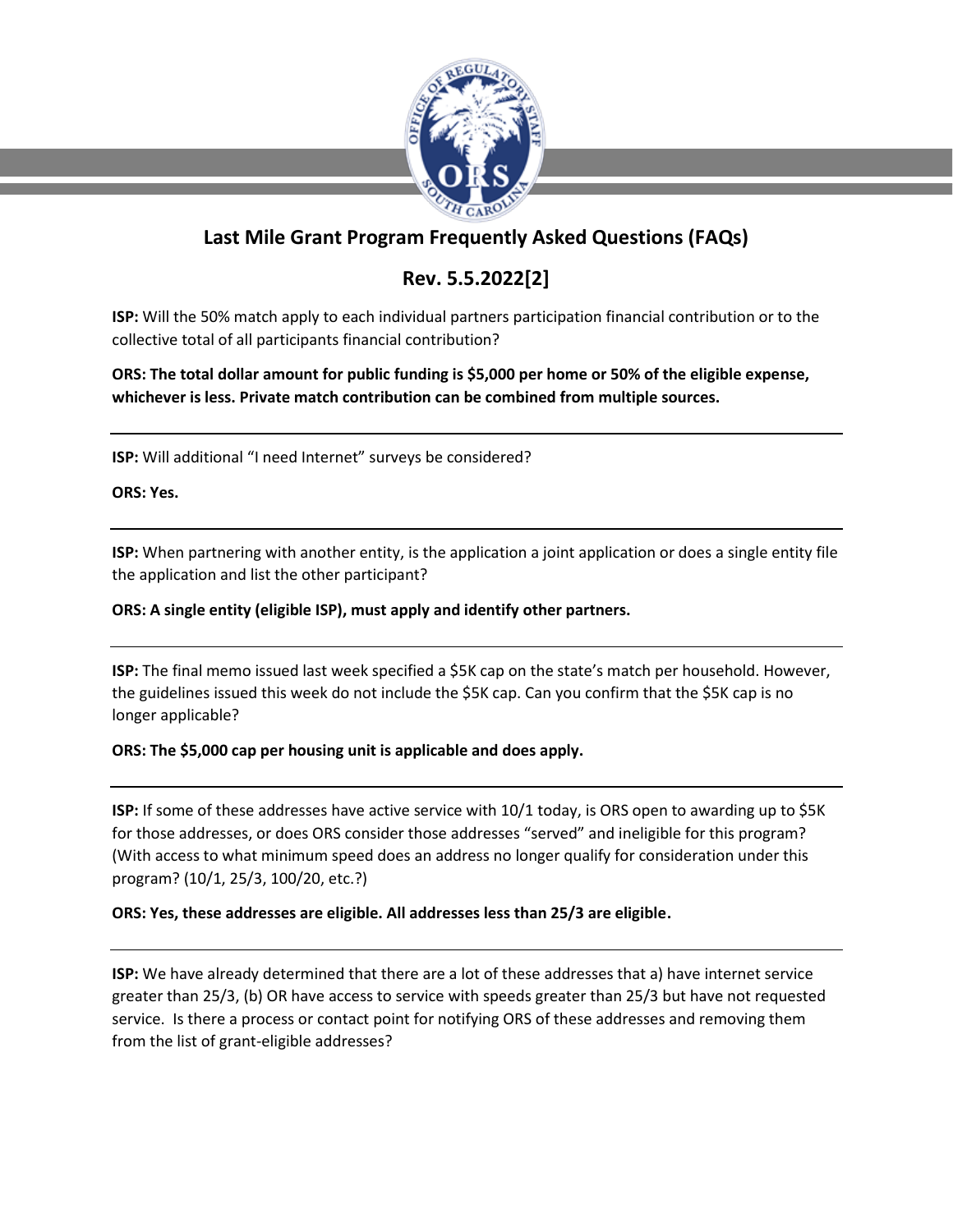

# **Last Mile Grant Program Frequently Asked Questions (FAQs)**

## **Rev. 5.5.2022[2]**

**ISP:** Will the 50% match apply to each individual partners participation financial contribution or to the collective total of all participants financial contribution?

## **ORS: The total dollar amount for public funding is \$5,000 per home or 50% of the eligible expense, whichever is less. Private match contribution can be combined from multiple sources.**

**ISP:** Will additional "I need Internet" surveys be considered?

**ORS: Yes.**

**ISP:** When partnering with another entity, is the application a joint application or does a single entity file the application and list the other participant?

## **ORS: A single entity (eligible ISP), must apply and identify other partners.**

**ISP:** The final memo issued last week specified a \$5K cap on the state's match per household. However, the guidelines issued this week do not include the \$5K cap. Can you confirm that the \$5K cap is no longer applicable?

### **ORS: The \$5,000 cap per housing unit is applicable and does apply.**

**ISP:** If some of these addresses have active service with 10/1 today, is ORS open to awarding up to \$5K for those addresses, or does ORS consider those addresses "served" and ineligible for this program? (With access to what minimum speed does an address no longer qualify for consideration under this program? (10/1, 25/3, 100/20, etc.?)

## **ORS: Yes, these addresses are eligible. All addresses less than 25/3 are eligible.**

**ISP:** We have already determined that there are a lot of these addresses that a) have internet service greater than 25/3, (b) OR have access to service with speeds greater than 25/3 but have not requested service. Is there a process or contact point for notifying ORS of these addresses and removing them from the list of grant-eligible addresses?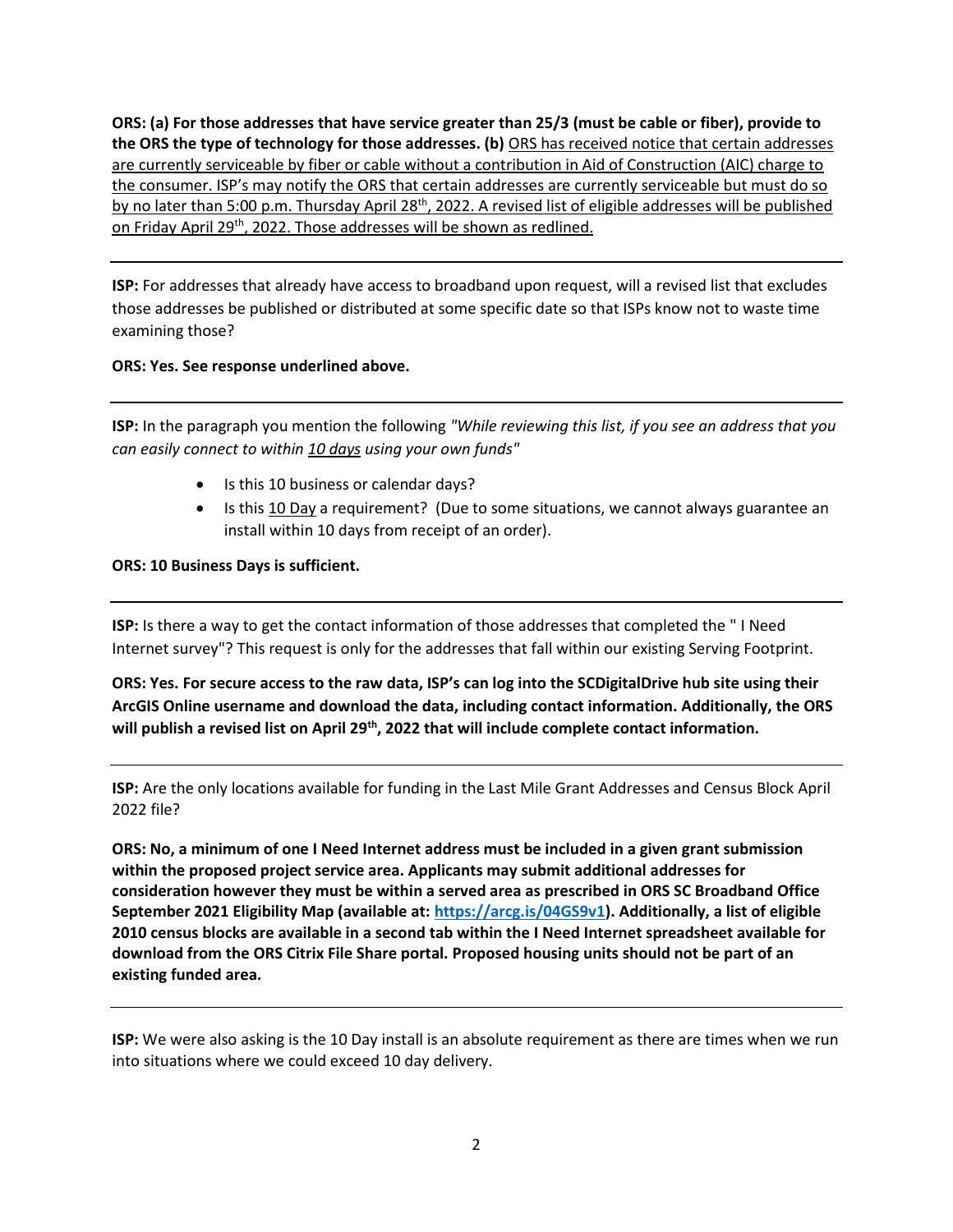**ORS: (a) For those addresses that have service greater than 25/3 (must be cable or fiber), provide to the ORS the type of technology for those addresses. (b)** ORS has received notice that certain addresses are currently serviceable by fiber or cable without a contribution in Aid of Construction (AIC) charge to the consumer. ISP's may notify the ORS that certain addresses are currently serviceable but must do so by no later than 5:00 p.m. Thursday April 28<sup>th</sup>, 2022. A revised list of eligible addresses will be published on Friday April 29<sup>th</sup>, 2022. Those addresses will be shown as redlined.

**ISP:** For addresses that already have access to broadband upon request, will a revised list that excludes those addresses be published or distributed at some specific date so that ISPs know not to waste time examining those?

### **ORS: Yes. See response underlined above.**

**ISP:** In the paragraph you mention the following *"While reviewing this list, if you see an address that you can easily connect to within 10 days using your own funds"* 

- Is this 10 business or calendar days?
- Is this 10 Day a requirement? (Due to some situations, we cannot always guarantee an install within 10 days from receipt of an order).

### **ORS: 10 Business Days is sufficient.**

**ISP:** Is there a way to get the contact information of those addresses that completed the " I Need Internet survey"? This request is only for the addresses that fall within our existing Serving Footprint.

**ORS: Yes. For secure access to the raw data, ISP's can log into the SCDigitalDrive hub site using their ArcGIS Online username and download the data, including contact information. Additionally, the ORS will publish a revised list on April 29th, 2022 that will include complete contact information.** 

**ISP:** Are the only locations available for funding in the Last Mile Grant Addresses and Census Block April 2022 file?

**ORS: No, a minimum of one I Need Internet address must be included in a given grant submission within the proposed project service area. Applicants may submit additional addresses for consideration however they must be within a served area as prescribed in ORS SC Broadband Office September 2021 Eligibility Map (available at: [https://arcg.is/04GS9v1\)](https://arcg.is/04GS9v1). Additionally, a list of eligible 2010 census blocks are available in a second tab within the I Need Internet spreadsheet available for download from the ORS Citrix File Share portal. Proposed housing units should not be part of an existing funded area.**

**ISP:** We were also asking is the 10 Day install is an absolute requirement as there are times when we run into situations where we could exceed 10 day delivery.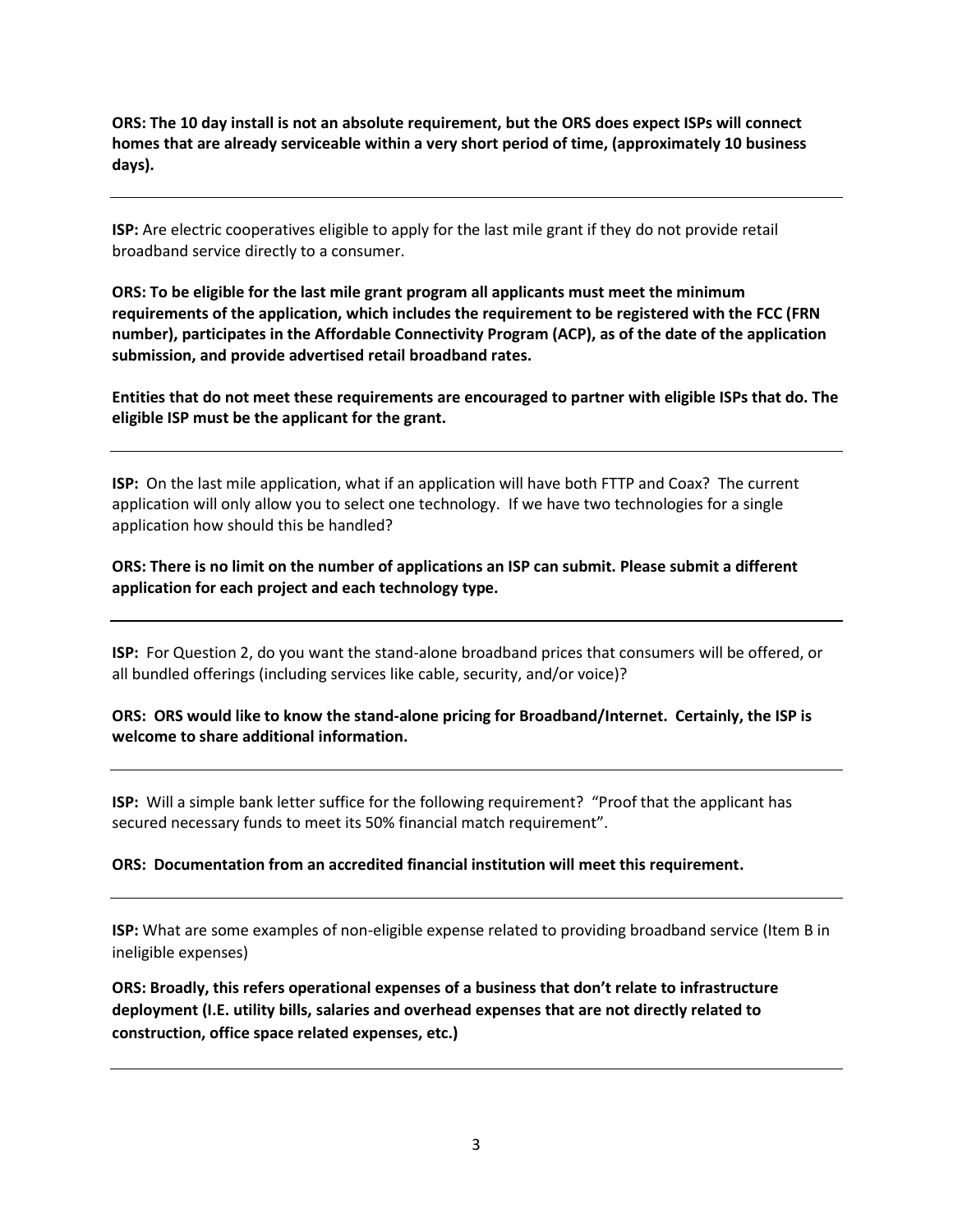**ORS: The 10 day install is not an absolute requirement, but the ORS does expect ISPs will connect homes that are already serviceable within a very short period of time, (approximately 10 business days).** 

**ISP:** Are electric cooperatives eligible to apply for the last mile grant if they do not provide retail broadband service directly to a consumer.

**ORS: To be eligible for the last mile grant program all applicants must meet the minimum requirements of the application, which includes the requirement to be registered with the FCC (FRN number), participates in the Affordable Connectivity Program (ACP), as of the date of the application submission, and provide advertised retail broadband rates.** 

**Entities that do not meet these requirements are encouraged to partner with eligible ISPs that do. The eligible ISP must be the applicant for the grant.**

**ISP:** On the last mile application, what if an application will have both FTTP and Coax? The current application will only allow you to select one technology. If we have two technologies for a single application how should this be handled?

**ORS: There is no limit on the number of applications an ISP can submit. Please submit a different application for each project and each technology type.**

**ISP:** For Question 2, do you want the stand-alone broadband prices that consumers will be offered, or all bundled offerings (including services like cable, security, and/or voice)?

**ORS: ORS would like to know the stand-alone pricing for Broadband/Internet. Certainly, the ISP is welcome to share additional information.** 

**ISP:** Will a simple bank letter suffice for the following requirement? "Proof that the applicant has secured necessary funds to meet its 50% financial match requirement".

**ORS: Documentation from an accredited financial institution will meet this requirement.**

**ISP:** What are some examples of non-eligible expense related to providing broadband service (Item B in ineligible expenses)

**ORS: Broadly, this refers operational expenses of a business that don't relate to infrastructure deployment (I.E. utility bills, salaries and overhead expenses that are not directly related to construction, office space related expenses, etc.)**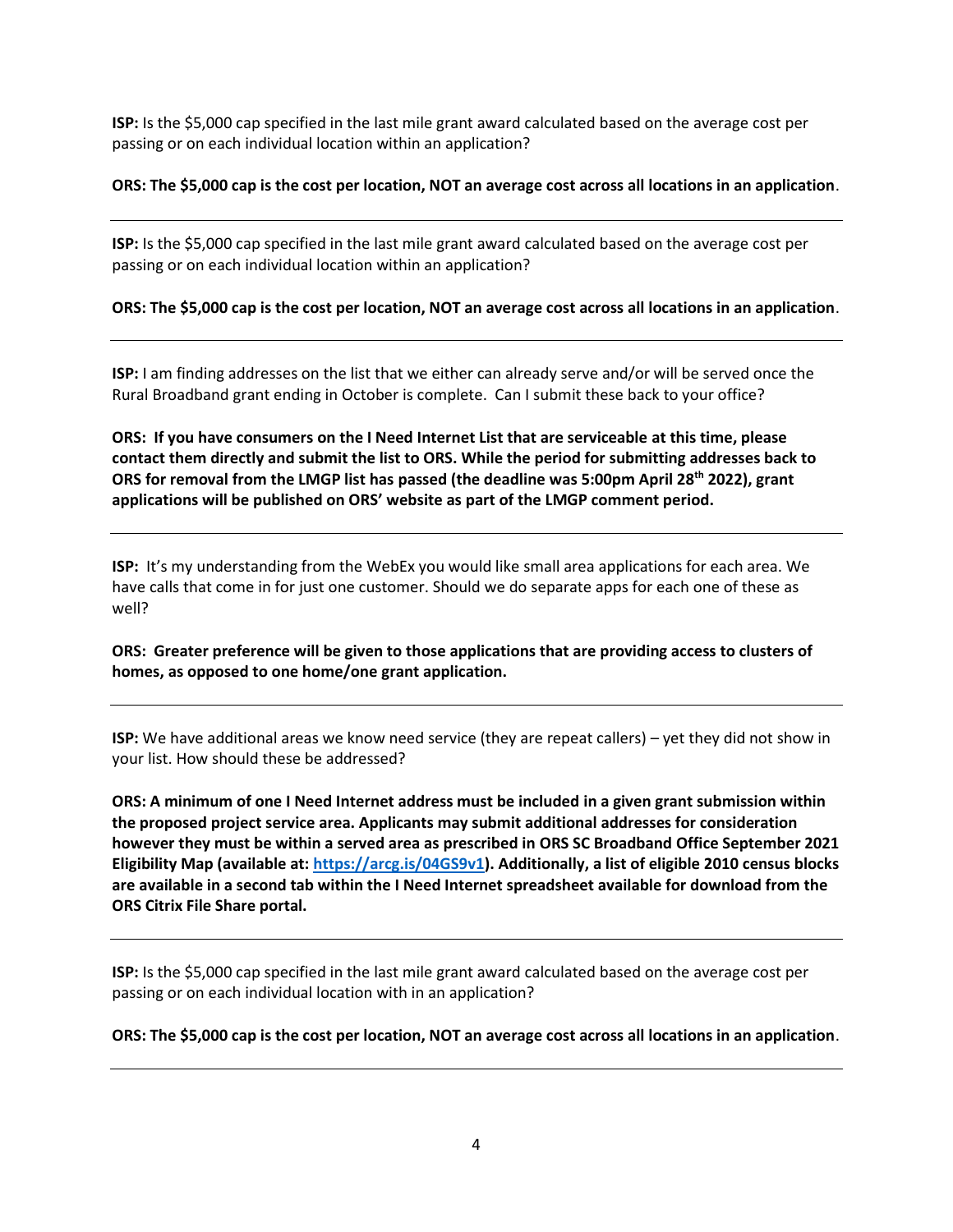**ISP:** Is the \$5,000 cap specified in the last mile grant award calculated based on the average cost per passing or on each individual location within an application?

## **ORS: The \$5,000 cap is the cost per location, NOT an average cost across all locations in an application**.

**ISP:** Is the \$5,000 cap specified in the last mile grant award calculated based on the average cost per passing or on each individual location within an application?

## **ORS: The \$5,000 cap is the cost per location, NOT an average cost across all locations in an application**.

**ISP:** I am finding addresses on the list that we either can already serve and/or will be served once the Rural Broadband grant ending in October is complete. Can I submit these back to your office?

**ORS: If you have consumers on the I Need Internet List that are serviceable at this time, please contact them directly and submit the list to ORS. While the period for submitting addresses back to ORS for removal from the LMGP list has passed (the deadline was 5:00pm April 28th 2022), grant applications will be published on ORS' website as part of the LMGP comment period.**

**ISP:** It's my understanding from the WebEx you would like small area applications for each area. We have calls that come in for just one customer. Should we do separate apps for each one of these as well?

**ORS: Greater preference will be given to those applications that are providing access to clusters of homes, as opposed to one home/one grant application.**

**ISP:** We have additional areas we know need service (they are repeat callers) – yet they did not show in your list. How should these be addressed?

**ORS: A minimum of one I Need Internet address must be included in a given grant submission within the proposed project service area. Applicants may submit additional addresses for consideration however they must be within a served area as prescribed in ORS SC Broadband Office September 2021 Eligibility Map (available at: [https://arcg.is/04GS9v1\)](https://gcc02.safelinks.protection.outlook.com/?url=https%3A%2F%2Farcg.is%2F04GS9v1&data=05%7C01%7Chpage%40ors.sc.gov%7C7ae38ea822a84b5b8dcc08da2ead3ad7%7Ce9f8d01480d84f27b0d6c3d6c085fcdd%7C0%7C0%7C637873618802413726%7CUnknown%7CTWFpbGZsb3d8eyJWIjoiMC4wLjAwMDAiLCJQIjoiV2luMzIiLCJBTiI6Ik1haWwiLCJXVCI6Mn0%3D%7C3000%7C%7C%7C&sdata=nALIj24qT%2FmBr9nLE81GXb7td%2F9q7ghx8NY%2B1ccb6dA%3D&reserved=0). Additionally, a list of eligible 2010 census blocks are available in a second tab within the I Need Internet spreadsheet available for download from the ORS Citrix File Share portal.** 

**ISP:** Is the \$5,000 cap specified in the last mile grant award calculated based on the average cost per passing or on each individual location with in an application?

**ORS: The \$5,000 cap is the cost per location, NOT an average cost across all locations in an application**.